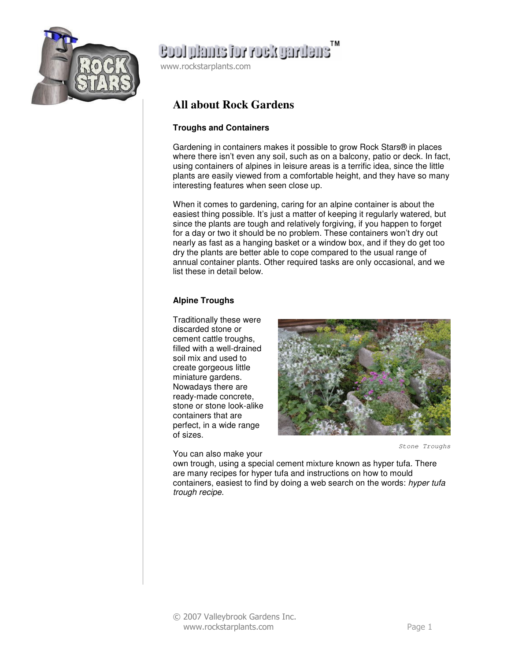

## ensuring Noor rot enmal loos

www.rockstarplants.com

### **All about Rock Gardens**

### **Troughs and Containers**

Gardening in containers makes it possible to grow Rock Stars® in places where there isn't even any soil, such as on a balcony, patio or deck. In fact, using containers of alpines in leisure areas is a terrific idea, since the little plants are easily viewed from a comfortable height, and they have so many interesting features when seen close up.

When it comes to gardening, caring for an alpine container is about the easiest thing possible. It's just a matter of keeping it regularly watered, but since the plants are tough and relatively forgiving, if you happen to forget for a day or two it should be no problem. These containers won't dry out nearly as fast as a hanging basket or a window box, and if they do get too dry the plants are better able to cope compared to the usual range of annual container plants. Other required tasks are only occasional, and we list these in detail below.

### **Alpine Troughs**

Traditionally these were discarded stone or cement cattle troughs, filled with a well-drained soil mix and used to create gorgeous little miniature gardens. Nowadays there are ready-made concrete, stone or stone look-alike containers that are perfect, in a wide range of sizes.

You can also make your



Stone Troughs

own trough, using a special cement mixture known as hyper tufa. There are many recipes for hyper tufa and instructions on how to mould containers, easiest to find by doing a web search on the words: hyper tufa trough recipe.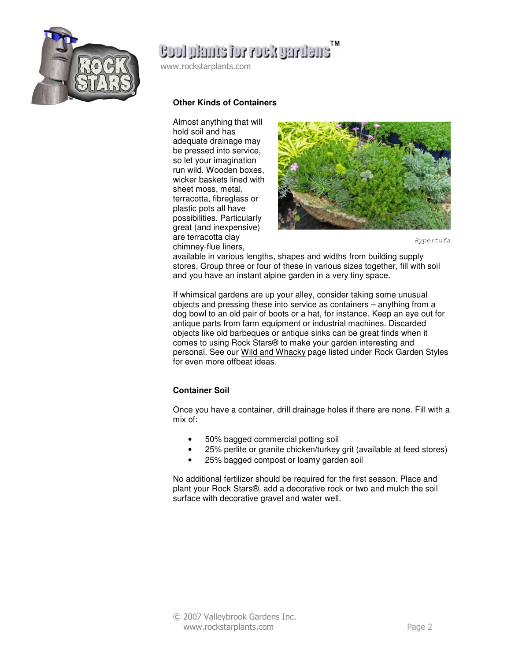

# ensuring Noor rot enmal loos

www.rockstarplants.com

#### **Other Kinds of Containers**

Almost anything that will hold soil and has adequate drainage may be pressed into service, so let your imagination run wild. Wooden boxes, wicker baskets lined with sheet moss, metal, terracotta, fibreglass or plastic pots all have possibilities. Particularly great (and inexpensive) are terracotta clay chimney-flue liners,



Hypertufa

available in various lengths, shapes and widths from building supply stores. Group three or four of these in various sizes together, fill with soil and you have an instant alpine garden in a very tiny space.

If whimsical gardens are up your alley, consider taking some unusual objects and pressing these into service as containers – anything from a dog bowl to an old pair of boots or a hat, for instance. Keep an eye out for antique parts from farm equipment or industrial machines. Discarded objects like old barbeques or antique sinks can be great finds when it comes to using Rock Stars® to make your garden interesting and personal. See our Wild and Whacky page listed under Rock Garden Styles for even more offbeat ideas.

#### **Container Soil**

Once you have a container, drill drainage holes if there are none. Fill with a mix of:

- 50% bagged commercial potting soil
- 25% perlite or granite chicken/turkey grit (available at feed stores)
- 25% bagged compost or loamy garden soil

No additional fertilizer should be required for the first season. Place and plant your Rock Stars®, add a decorative rock or two and mulch the soil surface with decorative gravel and water well.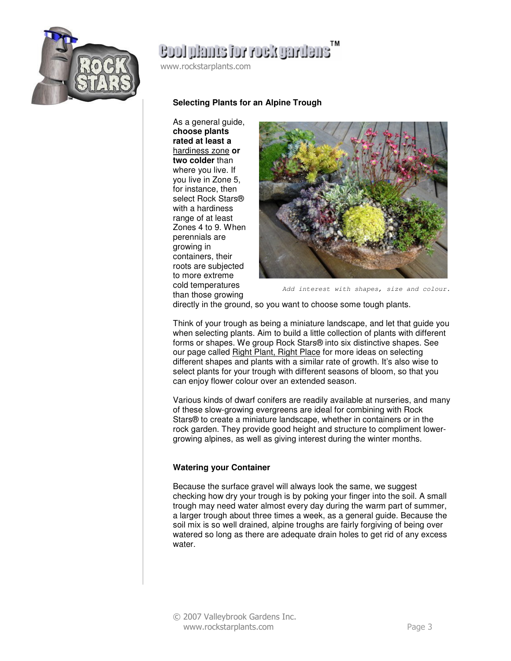

# ensilvägov voi email loos

www.rockstarplants.com

#### **Selecting Plants for an Alpine Trough**

As a general guide, **choose plants rated at least a**  hardiness zone **or two colder** than where you live. If you live in Zone 5, for instance, then select Rock Stars® with a hardiness range of at least Zones 4 to 9. When perennials are growing in containers, their roots are subjected to more extreme cold temperatures than those growing



Add interest with shapes, size and colour.

directly in the ground, so you want to choose some tough plants.

Think of your trough as being a miniature landscape, and let that guide you when selecting plants. Aim to build a little collection of plants with different forms or shapes. We group Rock Stars® into six distinctive shapes. See our page called Right Plant, Right Place for more ideas on selecting different shapes and plants with a similar rate of growth. It's also wise to select plants for your trough with different seasons of bloom, so that you can enjoy flower colour over an extended season.

Various kinds of dwarf conifers are readily available at nurseries, and many of these slow-growing evergreens are ideal for combining with Rock Stars® to create a miniature landscape, whether in containers or in the rock garden. They provide good height and structure to compliment lowergrowing alpines, as well as giving interest during the winter months.

#### **Watering your Container**

Because the surface gravel will always look the same, we suggest checking how dry your trough is by poking your finger into the soil. A small trough may need water almost every day during the warm part of summer, a larger trough about three times a week, as a general guide. Because the soil mix is so well drained, alpine troughs are fairly forgiving of being over watered so long as there are adequate drain holes to get rid of any excess water.

© 2007 Valleybrook Gardens Inc. www.rockstarplants.com Page 3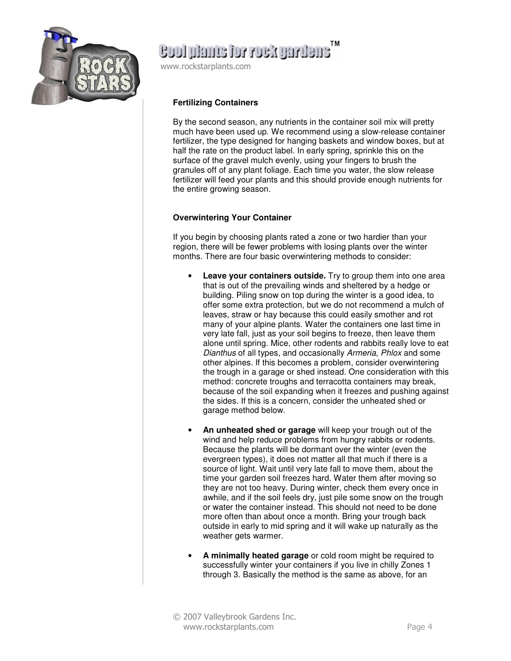

# ensiments for roadmaning

www.rockstarplants.com

### **Fertilizing Containers**

By the second season, any nutrients in the container soil mix will pretty much have been used up. We recommend using a slow-release container fertilizer, the type designed for hanging baskets and window boxes, but at half the rate on the product label. In early spring, sprinkle this on the surface of the gravel mulch evenly, using your fingers to brush the granules off of any plant foliage. Each time you water, the slow release fertilizer will feed your plants and this should provide enough nutrients for the entire growing season.

### **Overwintering Your Container**

If you begin by choosing plants rated a zone or two hardier than your region, there will be fewer problems with losing plants over the winter months. There are four basic overwintering methods to consider:

- **Leave your containers outside.** Try to group them into one area that is out of the prevailing winds and sheltered by a hedge or building. Piling snow on top during the winter is a good idea, to offer some extra protection, but we do not recommend a mulch of leaves, straw or hay because this could easily smother and rot many of your alpine plants. Water the containers one last time in very late fall, just as your soil begins to freeze, then leave them alone until spring. Mice, other rodents and rabbits really love to eat Dianthus of all types, and occasionally Armeria, Phlox and some other alpines. If this becomes a problem, consider overwintering the trough in a garage or shed instead. One consideration with this method: concrete troughs and terracotta containers may break, because of the soil expanding when it freezes and pushing against the sides. If this is a concern, consider the unheated shed or garage method below.
- **An unheated shed or garage** will keep your trough out of the wind and help reduce problems from hungry rabbits or rodents. Because the plants will be dormant over the winter (even the evergreen types), it does not matter all that much if there is a source of light. Wait until very late fall to move them, about the time your garden soil freezes hard. Water them after moving so they are not too heavy. During winter, check them every once in awhile, and if the soil feels dry, just pile some snow on the trough or water the container instead. This should not need to be done more often than about once a month. Bring your trough back outside in early to mid spring and it will wake up naturally as the weather gets warmer.
- **A minimally heated garage** or cold room might be required to successfully winter your containers if you live in chilly Zones 1 through 3. Basically the method is the same as above, for an